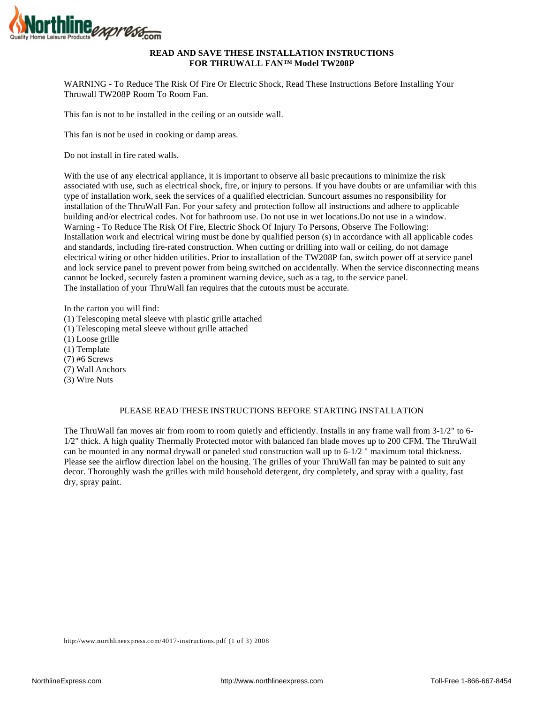

## **READ AND SAVE THESE INSTALLATION INSTRUCTIONS FOR THRUWALL FAN™ Model TW208P**

WARNING - To Reduce The Risk Of Fire Or Electric Shock, Read These Instructions Before Installing Your Thruwall TW208P Room To Room Fan.

This fan is not to be installed in the ceiling or an outside wall.

This fan is not be used in cooking or damp areas.

Do not install in fire rated walls.

With the use of any electrical appliance, it is important to observe all basic precautions to minimize the risk associated with use, such as electrical shock, fire, or injury to persons. If you have doubts or are unfamiliar with this type of installation work, seek the services of a qualified electrician. Suncourt assumes no responsibility for installation of the ThruWall Fan. For your safety and protection follow all instructions and adhere to applicable building and/or electrical codes. Not for bathroom use. Do not use in wet locations.Do not use in a window. Warning - To Reduce The Risk Of Fire, Electric Shock Of Injury To Persons, Observe The Following: Installation work and electrical wiring must be done by qualified person (s) in accordance with all applicable codes and standards, including fire-rated construction. When cutting or drilling into wall or ceiling, do not damage electrical wiring or other hidden utilities. Prior to installation of the TW208P fan, switch power off at service panel and lock service panel to prevent power from being switched on accidentally. When the service disconnecting means cannot be locked, securely fasten a prominent warning device, such as a tag, to the service panel. The installation of your ThruWall fan requires that the cutouts must be accurate.

In the carton you will find:

- (1) Telescoping metal sleeve with plastic grille attached
- (1) Telescoping metal sleeve without grille attached
- (1) Loose grille
- (1) Template
- (7) #6 Screws
- (7) Wall Anchors
- (3) Wire Nuts

## PLEASE READ THESE INSTRUCTIONS BEFORE STARTING INSTALLATION

The ThruWall fan moves air from room to room quietly and efficiently. Installs in any frame wall from 3-1/2" to 6- 1/2" thick. A high quality Thermally Protected motor with balanced fan blade moves up to 200 CFM. The ThruWall can be mounted in any normal drywall or paneled stud construction wall up to 6-1/2 " maximum total thickness. Please see the airflow direction label on the housing. The grilles of your ThruWall fan may be painted to suit any decor. Thoroughly wash the grilles with mild household detergent, dry completely, and spray with a quality, fast dry, spray paint.

http://www.northlineexpress.com/4017-instructions.pdf (1 of 3) 2008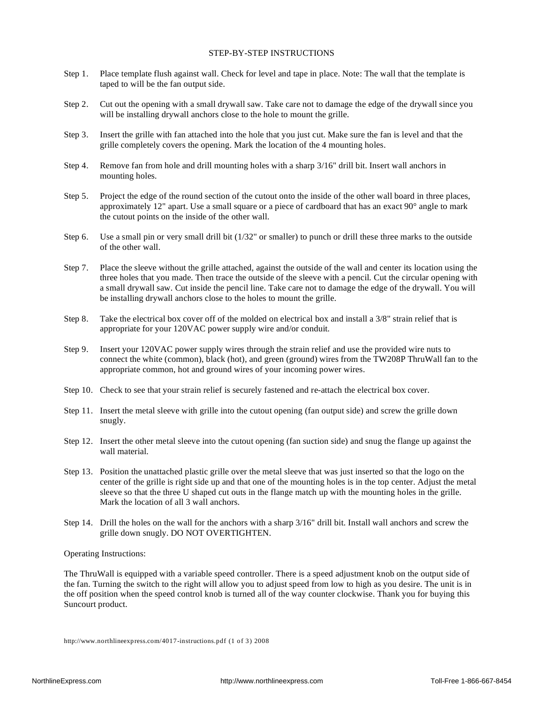### STEP-BY-STEP INSTRUCTIONS

- Step 1. Place template flush against wall. Check for level and tape in place. Note: The wall that the template is taped to will be the fan output side.
- Step 2. Cut out the opening with a small drywall saw. Take care not to damage the edge of the drywall since you will be installing drywall anchors close to the hole to mount the grille.
- Step 3. Insert the grille with fan attached into the hole that you just cut. Make sure the fan is level and that the grille completely covers the opening. Mark the location of the 4 mounting holes.
- Step 4. Remove fan from hole and drill mounting holes with a sharp 3/16" drill bit. Insert wall anchors in mounting holes.
- Step 5. Project the edge of the round section of the cutout onto the inside of the other wall board in three places, approximately 12" apart. Use a small square or a piece of cardboard that has an exact 90° angle to mark the cutout points on the inside of the other wall.
- Step 6. Use a small pin or very small drill bit (1/32" or smaller) to punch or drill these three marks to the outside of the other wall.
- Step 7. Place the sleeve without the grille attached, against the outside of the wall and center its location using the three holes that you made. Then trace the outside of the sleeve with a pencil. Cut the circular opening with a small drywall saw. Cut inside the pencil line. Take care not to damage the edge of the drywall. You will be installing drywall anchors close to the holes to mount the grille.
- Step 8. Take the electrical box cover off of the molded on electrical box and install a 3/8" strain relief that is appropriate for your 120VAC power supply wire and/or conduit.
- Step 9. Insert your 120VAC power supply wires through the strain relief and use the provided wire nuts to connect the white (common), black (hot), and green (ground) wires from the TW208P ThruWall fan to the appropriate common, hot and ground wires of your incoming power wires.
- Step 10. Check to see that your strain relief is securely fastened and re-attach the electrical box cover.
- Step 11. Insert the metal sleeve with grille into the cutout opening (fan output side) and screw the grille down snugly.
- Step 12. Insert the other metal sleeve into the cutout opening (fan suction side) and snug the flange up against the wall material.
- Step 13. Position the unattached plastic grille over the metal sleeve that was just inserted so that the logo on the center of the grille is right side up and that one of the mounting holes is in the top center. Adjust the metal sleeve so that the three U shaped cut outs in the flange match up with the mounting holes in the grille. Mark the location of all 3 wall anchors.
- Step 14. Drill the holes on the wall for the anchors with a sharp 3/16" drill bit. Install wall anchors and screw the grille down snugly. DO NOT OVERTIGHTEN.

#### Operating Instructions:

The ThruWall is equipped with a variable speed controller. There is a speed adjustment knob on the output side of the fan. Turning the switch to the right will allow you to adjust speed from low to high as you desire. The unit is in the off position when the speed control knob is turned all of the way counter clockwise. Thank you for buying this Suncourt product.

http://www.northlineexpress.com/4017-instructions.pdf (1 of 3) 2008